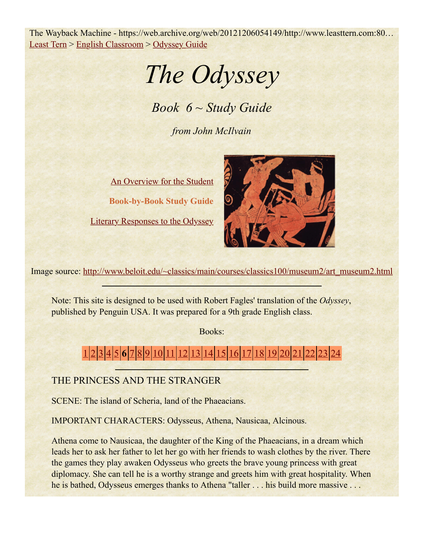The Wayback Machine - https://web.archive.org/web/20121206054149/http://www.leasttern.com:80… Least Tern > English Classroom > Odyssey Guide

*The Odyssey*

*Book 6 ~ Study Guide*

*from John McIlvain*

An Overview for the Student **Book-by-Book Study Guide**

Literary Responses to the Odyssey



Image source: http://www.beloit.edu/~classics/main/courses/classics100/museum2/art\_museum2.html

Note: This site is designed to be used with Robert Fagles' translation of the *Odyssey*, published by Penguin USA. It was prepared for a 9th grade English class.

Books:

# 1 2 3 4 5 **6** 7 8 9 10 11 12 13 14 15 16 17 18 19 20 21 22 23 24

## THE PRINCESS AND THE STRANGER

SCENE: The island of Scheria, land of the Phaeacians.

IMPORTANT CHARACTERS: Odysseus, Athena, Nausicaa, Alcinous.

Athena come to Nausicaa, the daughter of the King of the Phaeacians, in a dream which leads her to ask her father to let her go with her friends to wash clothes by the river. There the games they play awaken Odysseus who greets the brave young princess with great diplomacy. She can tell he is a worthy strange and greets him with great hospitality. When he is bathed, Odysseus emerges thanks to Athena "taller . . . his build more massive . . .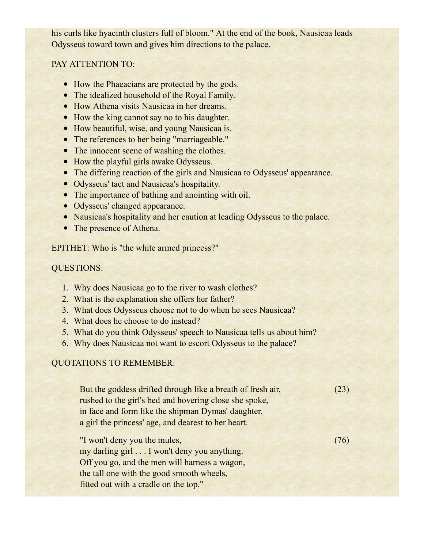his curls like hyacinth clusters full of bloom." At the end of the book, Nausicaa leads Odysseus toward town and gives him directions to the palace.

#### PAY ATTENTION TO:

- How the Phaeacians are protected by the gods.
- The idealized household of the Royal Family.
- How Athena visits Nausicaa in her dreams.
- How the king cannot say no to his daughter.
- How beautiful, wise, and young Nausicaa is.
- The references to her being "marriageable."
- The innocent scene of washing the clothes.
- How the playful girls awake Odysseus.
- The differing reaction of the girls and Nausicaa to Odysseus' appearance.
- Odysseus' tact and Nausicaa's hospitality.
- The importance of bathing and anointing with oil.
- Odysseus' changed appearance.
- Nausicaa's hospitality and her caution at leading Odysseus to the palace.
- The presence of Athena.

EPITHET: Who is "the white armed princess?"

#### QUESTIONS:

- 1. Why does Nausicaa go to the river to wash clothes?
- 2. What is the explanation she offers her father?
- 3. What does Odysseus choose not to do when he sees Nausicaa?
- 4. What does he choose to do instead?
- 5. What do you think Odysseus' speech to Nausicaa tells us about him?
- 6. Why does Nausicaa not want to escort Odysseus to the palace?

### QUOTATIONS TO REMEMBER:

But the goddess drifted through like a breath of fresh air, rushed to the girl's bed and hovering close she spoke, in face and form like the shipman Dymas' daughter, a girl the princess' age, and dearest to her heart.

"I won't deny you the mules, my darling girl . . . I won't deny you anything. Off you go, and the men will harness a wagon, the tall one with the good smooth wheels, fitted out with a cradle on the top."

(76)

(23)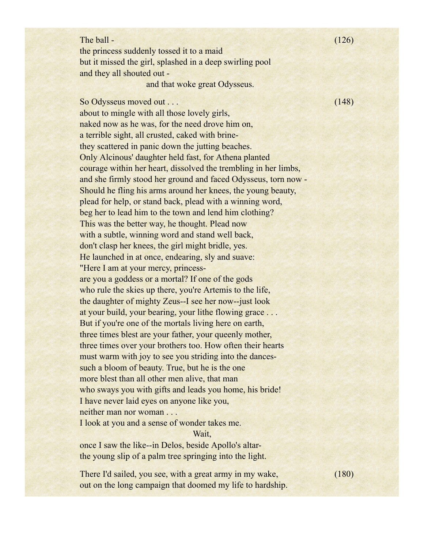| The ball -                                                      | (126) |
|-----------------------------------------------------------------|-------|
| the princess suddenly tossed it to a maid                       |       |
| but it missed the girl, splashed in a deep swirling pool        |       |
| and they all shouted out -                                      |       |
| and that woke great Odysseus.                                   |       |
| So Odysseus moved out                                           | (148) |
| about to mingle with all those lovely girls,                    |       |
| naked now as he was, for the need drove him on,                 |       |
| a terrible sight, all crusted, caked with brine-                |       |
| they scattered in panic down the jutting beaches.               |       |
| Only Alcinous' daughter held fast, for Athena planted           |       |
| courage within her heart, dissolved the trembling in her limbs, |       |
| and she firmly stood her ground and faced Odysseus, torn now -  |       |
| Should he fling his arms around her knees, the young beauty,    |       |
| plead for help, or stand back, plead with a winning word,       |       |
| beg her to lead him to the town and lend him clothing?          |       |
| This was the better way, he thought. Plead now                  |       |
| with a subtle, winning word and stand well back,                |       |
| don't clasp her knees, the girl might bridle, yes.              |       |
| He launched in at once, endearing, sly and suave:               |       |
| "Here I am at your mercy, princess-                             |       |
| are you a goddess or a mortal? If one of the gods               |       |
| who rule the skies up there, you're Artemis to the life,        |       |
| the daughter of mighty Zeus--I see her now--just look           |       |
| at your build, your bearing, your lithe flowing grace           |       |
| But if you're one of the mortals living here on earth,          |       |
| three times blest are your father, your queenly mother,         |       |
| three times over your brothers too. How often their hearts      |       |
| must warm with joy to see you striding into the dances-         |       |
| such a bloom of beauty. True, but he is the one                 |       |
| more blest than all other men alive, that man                   |       |
| who sways you with gifts and leads you home, his bride!         |       |
| I have never laid eyes on anyone like you,                      |       |
| neither man nor woman                                           |       |
|                                                                 |       |

I look at you and a sense of wonder takes me.

Wait,

once I saw the like--in Delos, beside Apollo's altarthe young slip of a palm tree springing into the light.

There I'd sailed, you see, with a great army in my wake, out on the long campaign that doomed my life to hardship. (180)